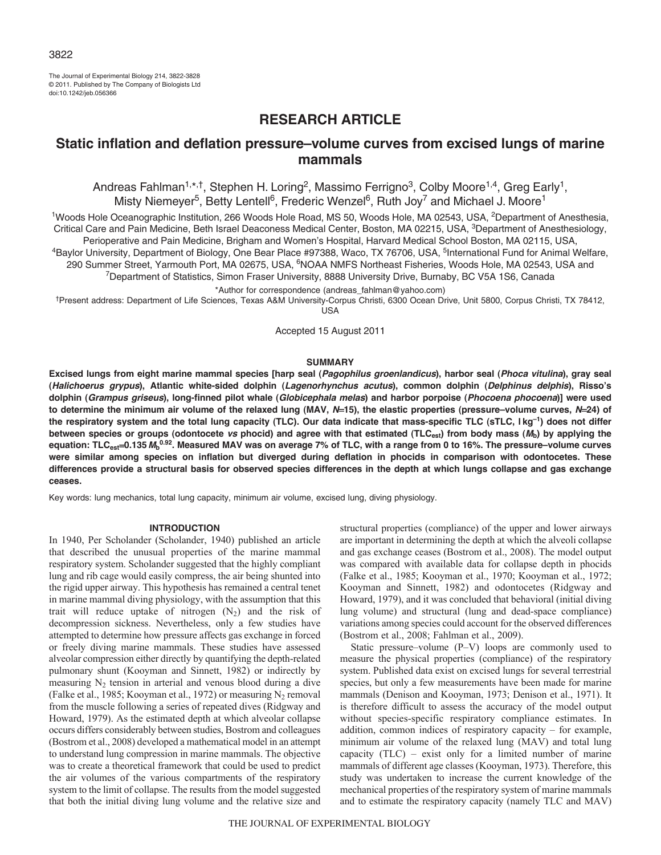The Journal of Experimental Biology 214, 3822-3828 © 2011. Published by The Company of Biologists Ltd doi:10.1242/jeb.056366

# **RESEARCH ARTICLE**

# **Static inflation and deflation pressure–volume curves from excised lungs of marine mammals**

Andreas Fahlman<sup>1,\*,†</sup>, Stephen H. Loring<sup>2</sup>, Massimo Ferrigno<sup>3</sup>, Colby Moore<sup>1,4</sup>, Greg Early<sup>1</sup>, Misty Niemeyer<sup>5</sup>, Betty Lentell<sup>6</sup>, Frederic Wenzel<sup>6</sup>, Ruth Joy<sup>7</sup> and Michael J. Moore<sup>1</sup>

<sup>1</sup>Woods Hole Oceanographic Institution, 266 Woods Hole Road, MS 50, Woods Hole, MA 02543, USA, <sup>2</sup>Department of Anesthesia, Critical Care and Pain Medicine, Beth Israel Deaconess Medical Center, Boston, MA 02215, USA, <sup>3</sup>Department of Anesthesiology, Perioperative and Pain Medicine, Brigham and Women's Hospital, Harvard Medical School Boston, MA 02115, USA,<br>Faylor University, Department of Biology, One Bear Place #97388, Waco, TX 76706, USA, <sup>5</sup>International Fund for A 290 Summer Street, Yarmouth Port, MA 02675, USA, <sup>6</sup>NOAA NMFS Northeast Fisheries, Woods Hole, MA 02543, USA and

7Department of Statistics, Simon Fraser University, 8888 University Drive, Burnaby, BC V5A 1S6, Canada

\*Author for correspondence (andreas\_fahlman@yahoo.com)

†Present address: Department of Life Sciences, Texas A&M University-Corpus Christi, 6300 Ocean Drive, Unit 5800, Corpus Christi, TX 78412, USA

Accepted 15 August 2011

# **SUMMARY**

**Excised lungs from eight marine mammal species [harp seal (***Pagophilus groenlandicus***), harbor seal (***Phoca vitulina***), gray seal (***Halichoerus grypus***), Atlantic white-sided dolphin (***Lagenorhynchus acutus***), common dolphin (***Delphinus delphis***), Risso's dolphin (***Grampus griseus***), long-finned pilot whale (***Globicephala melas***) and harbor porpoise (***Phocoena phocoena***)] were used to determine the minimum air volume of the relaxed lung (MAV,** *N*=**15), the elastic properties (pressure–volume curves,** *N*=**24) of** the respiratory system and the total lung capacity (TLC). Our data indicate that mass-specific TLC (sTLC, l kg<sup>-1</sup>) does not differ **between species or groups (odontocete** *vs* **phocid) and agree with that estimated (TLCest) from body mass (***M***b) by applying the equation: TLCest**=**0.135***M***<sup>b</sup> 0.92. Measured MAV was on average 7% of TLC, with a range from 0 to 16%. The pressure–volume curves were similar among species on inflation but diverged during deflation in phocids in comparison with odontocetes. These differences provide a structural basis for observed species differences in the depth at which lungs collapse and gas exchange ceases.**

Key words: lung mechanics, total lung capacity, minimum air volume, excised lung, diving physiology.

### **INTRODUCTION**

In 1940, Per Scholander (Scholander, 1940) published an article that described the unusual properties of the marine mammal respiratory system. Scholander suggested that the highly compliant lung and rib cage would easily compress, the air being shunted into the rigid upper airway. This hypothesis has remained a central tenet in marine mammal diving physiology, with the assumption that this trait will reduce uptake of nitrogen  $(N_2)$  and the risk of decompression sickness. Nevertheless, only a few studies have attempted to determine how pressure affects gas exchange in forced or freely diving marine mammals. These studies have assessed alveolar compression either directly by quantifying the depth-related pulmonary shunt (Kooyman and Sinnett, 1982) or indirectly by measuring  $N_2$  tension in arterial and venous blood during a dive (Falke et al., 1985; Kooyman et al., 1972) or measuring  $N_2$  removal from the muscle following a series of repeated dives (Ridgway and Howard, 1979). As the estimated depth at which alveolar collapse occurs differs considerably between studies, Bostrom and colleagues (Bostrom et al., 2008) developed a mathematical model in an attempt to understand lung compression in marine mammals. The objective was to create a theoretical framework that could be used to predict the air volumes of the various compartments of the respiratory system to the limit of collapse. The results from the model suggested that both the initial diving lung volume and the relative size and

structural properties (compliance) of the upper and lower airways are important in determining the depth at which the alveoli collapse and gas exchange ceases (Bostrom et al., 2008). The model output was compared with available data for collapse depth in phocids (Falke et al., 1985; Kooyman et al., 1970; Kooyman et al., 1972; Kooyman and Sinnett, 1982) and odontocetes (Ridgway and Howard, 1979), and it was concluded that behavioral (initial diving lung volume) and structural (lung and dead-space compliance) variations among species could account for the observed differences (Bostrom et al., 2008; Fahlman et al., 2009).

Static pressure–volume (P–V) loops are commonly used to measure the physical properties (compliance) of the respiratory system. Published data exist on excised lungs for several terrestrial species, but only a few measurements have been made for marine mammals (Denison and Kooyman, 1973; Denison et al., 1971). It is therefore difficult to assess the accuracy of the model output without species-specific respiratory compliance estimates. In addition, common indices of respiratory capacity – for example, minimum air volume of the relaxed lung (MAV) and total lung capacity (TLC) – exist only for a limited number of marine mammals of different age classes (Kooyman, 1973). Therefore, this study was undertaken to increase the current knowledge of the mechanical properties of the respiratory system of marine mammals and to estimate the respiratory capacity (namely TLC and MAV)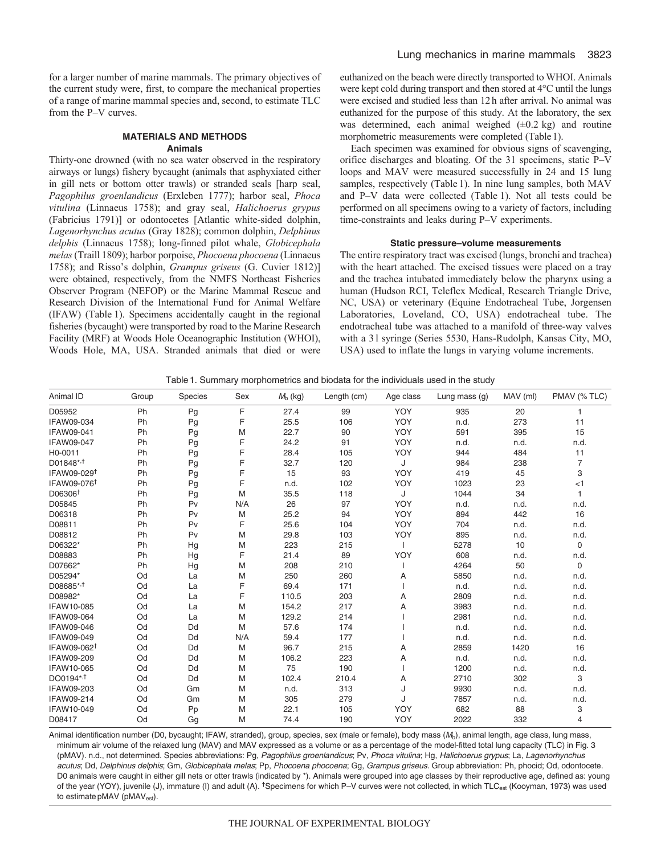for a larger number of marine mammals. The primary objectives of the current study were, first, to compare the mechanical properties of a range of marine mammal species and, second, to estimate TLC from the P–V curves.

# **MATERIALS AND METHODS Animals**

Thirty-one drowned (with no sea water observed in the respiratory airways or lungs) fishery bycaught (animals that asphyxiated either in gill nets or bottom otter trawls) or stranded seals [harp seal, *Pagophilus groenlandicus* (Erxleben 1777); harbor seal, *Phoca vitulina* (Linnaeus 1758); and gray seal, *Halichoerus grypus* (Fabricius 1791)] or odontocetes [Atlantic white-sided dolphin, *Lagenorhynchus acutus* (Gray 1828); common dolphin, *Delphinus delphis* (Linnaeus 1758); long-finned pilot whale, *Globicephala melas* (Traill 1809); harbor porpoise, *Phocoena phocoena* (Linnaeus 1758); and Risso's dolphin, *Grampus griseus* (G. Cuvier 1812)] were obtained, respectively, from the NMFS Northeast Fisheries Observer Program (NEFOP) or the Marine Mammal Rescue and Research Division of the International Fund for Animal Welfare (IFAW) (Table 1). Specimens accidentally caught in the regional fisheries (bycaught) were transported by road to the Marine Research Facility (MRF) at Woods Hole Oceanographic Institution (WHOI), Woods Hole, MA, USA. Stranded animals that died or were euthanized on the beach were directly transported to WHOI. Animals were kept cold during transport and then stored at 4°C until the lungs were excised and studied less than 12 h after arrival. No animal was euthanized for the purpose of this study. At the laboratory, the sex was determined, each animal weighed  $(\pm 0.2 \text{ kg})$  and routine morphometric measurements were completed (Table 1).

Each specimen was examined for obvious signs of scavenging, orifice discharges and bloating. Of the 31 specimens, static P–V loops and MAV were measured successfully in 24 and 15 lung samples, respectively (Table 1). In nine lung samples, both MAV and P–V data were collected (Table 1). Not all tests could be performed on all specimens owing to a variety of factors, including time-constraints and leaks during P–V experiments.

## **Static pressure–volume measurements**

The entire respiratory tract was excised (lungs, bronchi and trachea) with the heart attached. The excised tissues were placed on a tray and the trachea intubated immediately below the pharynx using a human (Hudson RCI, Teleflex Medical, Research Triangle Drive, NC, USA) or veterinary (Equine Endotracheal Tube, Jorgensen Laboratories, Loveland, CO, USA) endotracheal tube. The endotracheal tube was attached to a manifold of three-way valves with a 3 l syringe (Series 5530, Hans-Rudolph, Kansas City, MO, USA) used to inflate the lungs in varying volume increments.

|  | Table 1. Summary morphometrics and biodata for the individuals used in the study |  |
|--|----------------------------------------------------------------------------------|--|
|--|----------------------------------------------------------------------------------|--|

| Animal ID               | Group | Species | Sex | $Mb$ (kg) | Length (cm) | Age class | Lung mass $(q)$ | MAV (ml) | PMAV (% TLC)   |
|-------------------------|-------|---------|-----|-----------|-------------|-----------|-----------------|----------|----------------|
| D05952                  | Ph    | Pg      | F   | 27.4      | 99          | YOY       | 935             | 20       |                |
| IFAW09-034              | Ph    | Pg      | F   | 25.5      | 106         | YOY       | n.d.            | 273      | 11             |
| IFAW09-041              | Ph    | Pg      | M   | 22.7      | 90          | YOY       | 591             | 395      | 15             |
| <b>IFAW09-047</b>       | Ph    | Pg      | F   | 24.2      | 91          | YOY       | n.d.            | n.d.     | n.d.           |
| H0-0011                 | Ph    | Pg      | F   | 28.4      | 105         | YOY       | 944             | 484      | 11             |
| D01848*, <sup>†</sup>   | Ph    | Pg      | F   | 32.7      | 120         | J         | 984             | 238      | $\overline{7}$ |
| IFAW09-029 <sup>1</sup> | Ph    | Pg      | F   | 15        | 93          | YOY       | 419             | 45       | 3              |
| IFAW09-076 <sup>†</sup> | Ph    | Pg      | F   | n.d.      | 102         | YOY       | 1023            | 23       | $<$ 1          |
| D06306 <sup>+</sup>     | Ph    | Pg      | M   | 35.5      | 118         | J         | 1044            | 34       |                |
| D05845                  | Ph    | Pv      | N/A | 26        | 97          | YOY       | n.d.            | n.d.     | n.d.           |
| D06318                  | Ph    | Pv      | M   | 25.2      | 94          | YOY       | 894             | 442      | 16             |
| D08811                  | Ph    | Pv      | F   | 25.6      | 104         | YOY       | 704             | n.d.     | n.d.           |
| D08812                  | Ph    | Pv      | M   | 29.8      | 103         | YOY       | 895             | n.d.     | n.d.           |
| D06322*                 | Ph    | Hg      | M   | 223       | 215         |           | 5278            | 10       | 0              |
| D08883                  | Ph    | Hg      | F   | 21.4      | 89          | YOY       | 608             | n.d.     | n.d.           |
| D07662*                 | Ph    | Hg      | M   | 208       | 210         |           | 4264            | 50       | $\mathbf 0$    |
| D05294*                 | Od    | La      | M   | 250       | 260         | Α         | 5850            | n.d.     | n.d.           |
| D08685*, <sup>†</sup>   | Od    | La      | F   | 69.4      | 171         |           | n.d.            | n.d.     | n.d.           |
| D08982*                 | Od    | La      | F   | 110.5     | 203         | Α         | 2809            | n.d.     | n.d.           |
| IFAW10-085              | Od    | La      | M   | 154.2     | 217         | Α         | 3983            | n.d.     | n.d.           |
| IFAW09-064              | Od    | La      | M   | 129.2     | 214         |           | 2981            | n.d.     | n.d.           |
| <b>IFAW09-046</b>       | Od    | Dd      | M   | 57.6      | 174         |           | n.d.            | n.d.     | n.d.           |
| IFAW09-049              | Od    | Dd      | N/A | 59.4      | 177         |           | n.d.            | n.d.     | n.d.           |
| IFAW09-062 <sup>†</sup> | Od    | Dd      | M   | 96.7      | 215         | Α         | 2859            | 1420     | 16             |
| IFAW09-209              | Od    | Dd      | M   | 106.2     | 223         | Α         | n.d.            | n.d.     | n.d.           |
| IFAW10-065              | Od    | Dd      | M   | 75        | 190         |           | 1200            | n.d.     | n.d.           |
| DO0194*,                | Od    | Dd      | M   | 102.4     | 210.4       | Α         | 2710            | 302      | 3              |
| IFAW09-203              | Od    | Gm      | M   | n.d.      | 313         | J         | 9930            | n.d.     | n.d.           |
| IFAW09-214              | Od    | Gm      | M   | 305       | 279         | J         | 7857            | n.d.     | n.d.           |
| IFAW10-049              | Od    | Pp      | M   | 22.1      | 105         | YOY       | 682             | 88       | 3              |
| D08417                  | Od    | Gg      | M   | 74.4      | 190         | YOY       | 2022            | 332      | 4              |

Animal identification number (D0, bycaught; IFAW, stranded), group, species, sex (male or female), body mass (M<sub>b</sub>), animal length, age class, lung mass, minimum air volume of the relaxed lung (MAV) and MAV expressed as a volume or as a percentage of the model-fitted total lung capacity (TLC) in Fig. 3 (pMAV). n.d., not determined. Species abbreviations: Pg, Pagophilus groenlandicus; Pv, Phoca vitulina; Hg, Halichoerus grypus; La, Lagenorhynchus acutus; Dd, Delphinus delphis; Gm, Globicephala melas; Pp, Phocoena phocoena; Gg, Grampus griseus. Group abbreviation: Ph, phocid; Od, odontocete. D0 animals were caught in either gill nets or otter trawls (indicated by \*). Animals were grouped into age classes by their reproductive age, defined as: young of the year (YOY), juvenile (J), immature (I) and adult (A). <sup>†</sup>Specimens for which P–V curves were not collected, in which TLC<sub>est</sub> (Kooyman, 1973) was used to estimate pMAV (pMAV<sub>est</sub>).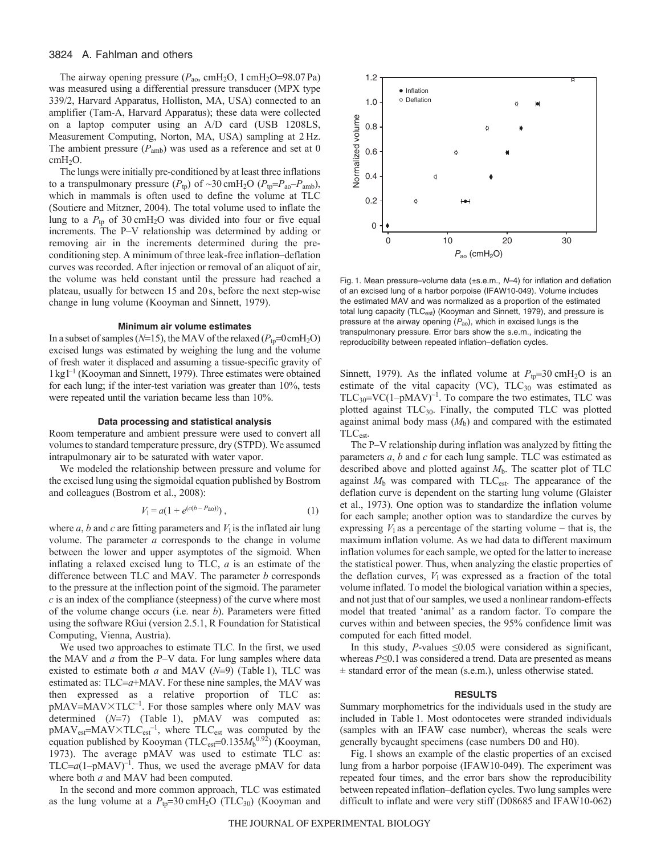## 3824 A. Fahlman and others

The airway opening pressure ( $P<sub>ao</sub>$ , cmH<sub>2</sub>O, 1 cmH<sub>2</sub>O=98.07 Pa) was measured using a differential pressure transducer (MPX type 339/2, Harvard Apparatus, Holliston, MA, USA) connected to an amplifier (Tam-A, Harvard Apparatus); these data were collected on a laptop computer using an A/D card (USB 1208LS, Measurement Computing, Norton, MA, USA) sampling at 2 Hz. The ambient pressure  $(P_{amb})$  was used as a reference and set at 0 cmH<sub>2</sub>O.

The lungs were initially pre-conditioned by at least three inflations to a transpulmonary pressure  $(P_{tp})$  of  $\sim$ 30 cmH<sub>2</sub>O  $(P_{tp} = P_{ao} - P_{amb})$ , which in mammals is often used to define the volume at TLC (Soutiere and Mitzner, 2004). The total volume used to inflate the lung to a  $P_{\text{tp}}$  of 30 cmH<sub>2</sub>O was divided into four or five equal increments. The P–V relationship was determined by adding or removing air in the increments determined during the preconditioning step. A minimum of three leak-free inflation–deflation curves was recorded. After injection or removal of an aliquot of air, the volume was held constant until the pressure had reached a plateau, usually for between 15 and 20 s, before the next step-wise change in lung volume (Kooyman and Sinnett, 1979).

#### **Minimum air volume estimates**

In a subset of samples ( $N=15$ ), the MAV of the relaxed ( $P_{\text{tp}}=0 \text{cm}H_2\text{O}$ ) excised lungs was estimated by weighing the lung and the volume of fresh water it displaced and assuming a tissue-specific gravity of  $1 \text{ kg}$ <sup> $-1$ </sup> (Kooyman and Sinnett, 1979). Three estimates were obtained for each lung; if the inter-test variation was greater than 10%, tests were repeated until the variation became less than 10%.

## **Data processing and statistical analysis**

Room temperature and ambient pressure were used to convert all volumes to standard temperature pressure, dry (STPD). We assumed intrapulmonary air to be saturated with water vapor.

We modeled the relationship between pressure and volume for the excised lung using the sigmoidal equation published by Bostrom and colleagues (Bostrom et al., 2008):

$$
V_1 = a(1 + e^{(c(b - Pa_0))}), \tag{1}
$$

where  $a$ ,  $b$  and  $c$  are fitting parameters and  $V_1$  is the inflated air lung volume. The parameter *a* corresponds to the change in volume between the lower and upper asymptotes of the sigmoid. When inflating a relaxed excised lung to TLC, *a* is an estimate of the difference between TLC and MAV. The parameter *b* corresponds to the pressure at the inflection point of the sigmoid. The parameter *c* is an index of the compliance (steepness) of the curve where most of the volume change occurs (i.e. near *b*). Parameters were fitted using the software RGui (version 2.5.1, R Foundation for Statistical Computing, Vienna, Austria).

We used two approaches to estimate TLC. In the first, we used the MAV and *a* from the P–V data. For lung samples where data existed to estimate both *a* and MAV (*N*=9) (Table 1), TLC was estimated as: TLC=a+MAV. For these nine samples, the MAV was then expressed as a relative proportion of TLC as: pMAV=MAV×TLC<sup>-1</sup>. For those samples where only MAV was determined (*N*=7) (Table 1), pMAV was computed as:  $p$ MAV<sub>est</sub>=MAV×TLC<sub>est</sub><sup>-1</sup>, where TLC<sub>est</sub> was computed by the equation published by Kooyman (TLC<sub>est</sub>=0.135 $M_b^{0.9\overline{2}}$ ) (Kooyman, 1973). The average pMAV was used to estimate TLC as: TLC= $a(1-pMAV)^{-1}$ . Thus, we used the average pMAV for data where both *a* and MAV had been computed.

In the second and more common approach, TLC was estimated as the lung volume at a  $P_{tp} = 30 \text{ cm}H_2\text{O}$  (TLC<sub>30</sub>) (Kooyman and



Fig. 1. Mean pressure–volume data (±s.e.m., N=4) for inflation and deflation of an excised lung of a harbor porpoise (IFAW10-049). Volume includes the estimated MAV and was normalized as a proportion of the estimated total lung capacity (TLC<sub>est</sub>) (Kooyman and Sinnett, 1979), and pressure is pressure at the airway opening  $(P_{\text{ao}})$ , which in excised lungs is the transpulmonary pressure. Error bars show the s.e.m., indicating the reproducibility between repeated inflation–deflation cycles.

Sinnett, 1979). As the inflated volume at  $P_{tp}=30 \text{ cm}H_2\text{O}$  is an estimate of the vital capacity (VC),  $TLC_{30}$  was estimated as  $TLC_{30} = VC(1-pMAV)^{-1}$ . To compare the two estimates, TLC was plotted against  $TLC_{30}$ . Finally, the computed TLC was plotted against animal body mass  $(M<sub>b</sub>)$  and compared with the estimated TLCest.

The P–V relationship during inflation was analyzed by fitting the parameters *a*, *b* and *c* for each lung sample. TLC was estimated as described above and plotted against *M*b. The scatter plot of TLC against  $M<sub>b</sub>$  was compared with TLC<sub>est</sub>. The appearance of the deflation curve is dependent on the starting lung volume (Glaister et al., 1973). One option was to standardize the inflation volume for each sample; another option was to standardize the curves by expressing  $V_1$  as a percentage of the starting volume – that is, the maximum inflation volume. As we had data to different maximum inflation volumes for each sample, we opted for the latter to increase the statistical power. Thus, when analyzing the elastic properties of the deflation curves,  $V_1$  was expressed as a fraction of the total volume inflated. To model the biological variation within a species, and not just that of our samples, we used a nonlinear random-effects model that treated 'animal' as a random factor. To compare the curves within and between species, the 95% confidence limit was computed for each fitted model.

In this study, *P*-values  $\leq 0.05$  were considered as significant, whereas *P*≤0.1 was considered a trend. Data are presented as means ± standard error of the mean (s.e.m.), unless otherwise stated.

#### **RESULTS**

Summary morphometrics for the individuals used in the study are included in Table 1. Most odontocetes were stranded individuals (samples with an IFAW case number), whereas the seals were generally bycaught specimens (case numbers D0 and H0).

Fig. 1 shows an example of the elastic properties of an excised lung from a harbor porpoise (IFAW10-049). The experiment was repeated four times, and the error bars show the reproducibility between repeated inflation–deflation cycles. Two lung samples were difficult to inflate and were very stiff (D08685 and IFAW10-062)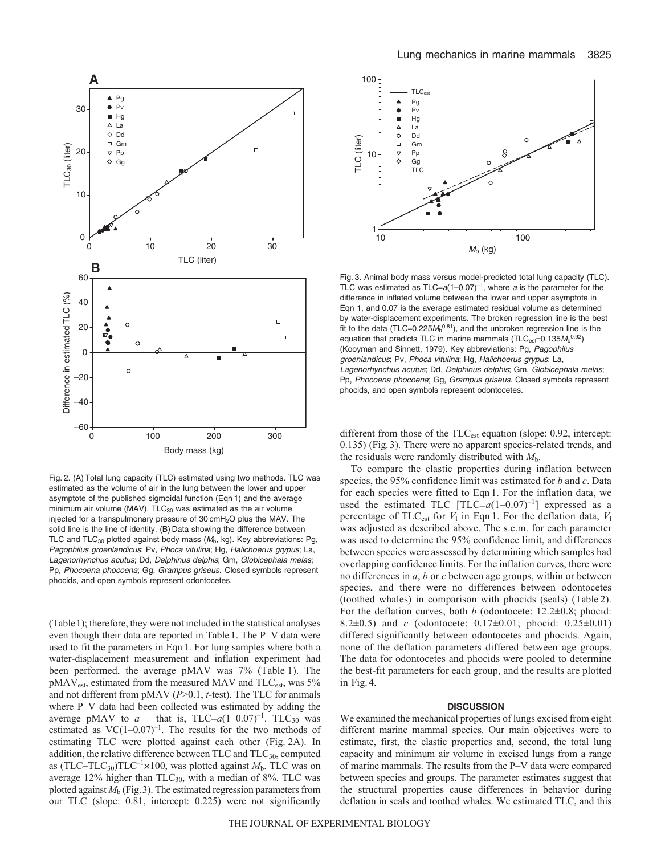

Fig. 2. (A) Total lung capacity (TLC) estimated using two methods. TLC was estimated as the volume of air in the lung between the lower and upper asymptote of the published sigmoidal function (Eqn 1) and the average minimum air volume (MAV).  $TLC_{30}$  was estimated as the air volume injected for a transpulmonary pressure of 30 cmH<sub>2</sub>O plus the MAV. The solid line is the line of identity. (B) Data showing the difference between TLC and  $TLC_{30}$  plotted against body mass ( $M<sub>b</sub>$ , kg). Key abbreviations: Pg, Pagophilus groenlandicus; Pv, Phoca vitulina; Hg, Halichoerus grypus; La, Lagenorhynchus acutus; Dd, Delphinus delphis; Gm, Globicephala melas; Pp, Phocoena phocoena; Gg, Grampus griseus. Closed symbols represent phocids, and open symbols represent odontocetes.

(Table1); therefore, they were not included in the statistical analyses even though their data are reported in Table 1. The P–V data were used to fit the parameters in Eqn 1. For lung samples where both a water-displacement measurement and inflation experiment had been performed, the average pMAV was 7% (Table 1). The pMAV<sub>est</sub>, estimated from the measured MAV and TLC<sub>est</sub>, was 5% and not different from pMAV (*P*>0.1, *t*-test). The TLC for animals where P–V data had been collected was estimated by adding the average pMAV to  $a$  – that is,  $TLC=a(1-0.07)^{-1}$ .  $TLC<sub>30</sub>$  was estimated as  $VC(1-0.07)^{-1}$ . The results for the two methods of estimating TLC were plotted against each other (Fig. 2A). In addition, the relative difference between TLC and TLC<sub>30</sub>, computed as  $(TLC-TLC_{30})TLC^{-1}\times100$ , was plotted against  $M_b$ . TLC was on average  $12\%$  higher than  $TLC_{30}$ , with a median of 8%. TLC was plotted against  $M<sub>b</sub>$  (Fig. 3). The estimated regression parameters from our TLC (slope: 0.81, intercept: 0.225) were not significantly



Fig. 3. Animal body mass versus model-predicted total lung capacity (TLC). TLC was estimated as TLC= $a(1-0.07)^{-1}$ , where a is the parameter for the difference in inflated volume between the lower and upper asymptote in Eqn 1, and 0.07 is the average estimated residual volume as determined by water-displacement experiments. The broken regression line is the best fit to the data (TLC=0.225 $M<sub>b</sub>^{0.81}$ ), and the unbroken regression line is the equation that predicts TLC in marine mammals (TLC $_{est}$ =0.135 $M_b$ <sup>0.92</sup>) (Kooyman and Sinnett, 1979). Key abbreviations: Pg, Pagophilus groenlandicus; Pv, Phoca vitulina; Hg, Halichoerus grypus; La, Lagenorhynchus acutus; Dd, Delphinus delphis; Gm, Globicephala melas; Pp, Phocoena phocoena; Gg, Grampus griseus. Closed symbols represent phocids, and open symbols represent odontocetes.

different from those of the TLC<sub>est</sub> equation (slope: 0.92, intercept: 0.135) (Fig. 3). There were no apparent species-related trends, and the residuals were randomly distributed with *M*b.

To compare the elastic properties during inflation between species, the 95% confidence limit was estimated for *b* and *c*. Data for each species were fitted to Eqn 1. For the inflation data, we used the estimated TLC  $[TLC=a(1-0.07)^{-1}]$  expressed as a percentage of TLC<sub>est</sub> for  $V_1$  in Eqn 1. For the deflation data,  $V_1$ was adjusted as described above. The s.e.m. for each parameter was used to determine the 95% confidence limit, and differences between species were assessed by determining which samples had overlapping confidence limits. For the inflation curves, there were no differences in *a*, *b* or *c* between age groups, within or between species, and there were no differences between odontocetes (toothed whales) in comparison with phocids (seals) (Table 2). For the deflation curves, both *b* (odontocete: 12.2±0.8; phocid: 8.2±0.5) and *c* (odontocete: 0.17±0.01; phocid: 0.25±0.01) differed significantly between odontocetes and phocids. Again, none of the deflation parameters differed between age groups. The data for odontocetes and phocids were pooled to determine the best-fit parameters for each group, and the results are plotted in Fig. 4.

## **DISCUSSION**

We examined the mechanical properties of lungs excised from eight different marine mammal species. Our main objectives were to estimate, first, the elastic properties and, second, the total lung capacity and minimum air volume in excised lungs from a range of marine mammals. The results from the P–V data were compared between species and groups. The parameter estimates suggest that the structural properties cause differences in behavior during deflation in seals and toothed whales. We estimated TLC, and this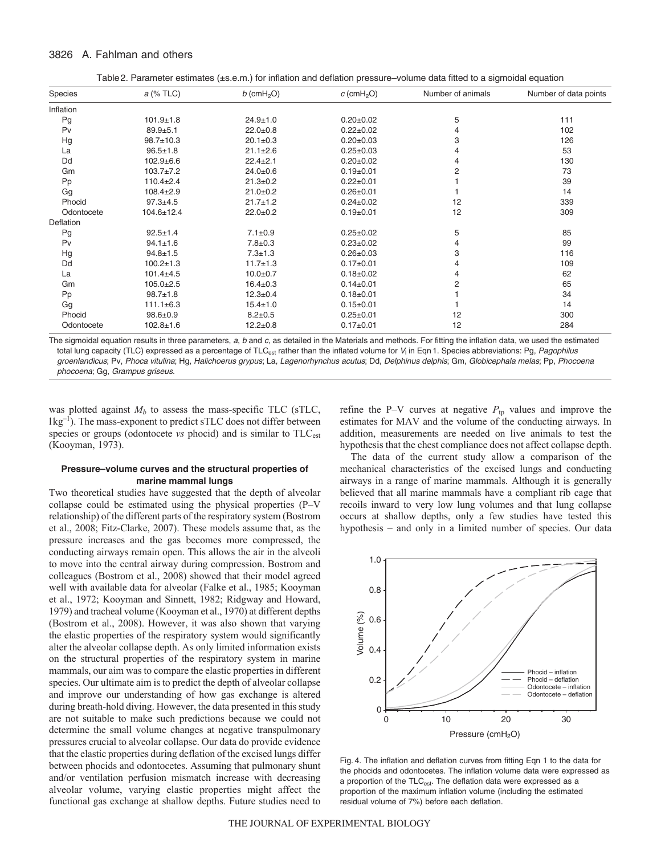## 3826 A. Fahlman and others

Table2. Parameter estimates (±s.e.m.) for inflation and deflation pressure–volume data fitted to a sigmoidal equation

| Species    | a (% TLC)        | $b$ (cmH <sub>2</sub> O) | $c$ (cmH <sub>2</sub> O) | Number of animals | Number of data points |
|------------|------------------|--------------------------|--------------------------|-------------------|-----------------------|
| Inflation  |                  |                          |                          |                   |                       |
| Pg         | $101.9 + 1.8$    | $24.9 + 1.0$             | $0.20 + 0.02$            | 5                 | 111                   |
| Pv         | $89.9 + 5.1$     | $22.0 + 0.8$             | $0.22 \pm 0.02$          | 4                 | 102                   |
| Hg         | $98.7 \pm 10.3$  | $20.1 \pm 0.3$           | $0.20 + 0.03$            | 3                 | 126                   |
| La         | $96.5 \pm 1.8$   | $21.1 \pm 2.6$           | $0.25 \pm 0.03$          | 4                 | 53                    |
| Dd         | $102.9 + 6.6$    | $22.4 \pm 2.1$           | $0.20 \pm 0.02$          | 4                 | 130                   |
| Gm         | $103.7 \pm 7.2$  | $24.0 + 0.6$             | $0.19 + 0.01$            | 2                 | 73                    |
| Pp         | $110.4 \pm 2.4$  | $21.3 \pm 0.2$           | $0.22 \pm 0.01$          |                   | 39                    |
| Gg         | $108.4 \pm 2.9$  | $21.0 + 0.2$             | $0.26 + 0.01$            |                   | 14                    |
| Phocid     | $97.3 + 4.5$     | $21.7 \pm 1.2$           | $0.24 \pm 0.02$          | 12                | 339                   |
| Odontocete | $104.6 \pm 12.4$ | $22.0 + 0.2$             | $0.19 \pm 0.01$          | 12                | 309                   |
| Deflation  |                  |                          |                          |                   |                       |
| Pg         | $92.5 \pm 1.4$   | $7.1 \pm 0.9$            | $0.25 \pm 0.02$          | 5                 | 85                    |
| Pv         | $94.1 \pm 1.6$   | $7.8 \pm 0.3$            | $0.23 \pm 0.02$          | 4                 | 99                    |
| Hg         | $94.8 \pm 1.5$   | $7.3 \pm 1.3$            | $0.26 \pm 0.03$          | 3                 | 116                   |
| Dd         | $100.2 \pm 1.3$  | $11.7 + 1.3$             | $0.17 + 0.01$            | 4                 | 109                   |
| La         | $101.4 + 4.5$    | $10.0 + 0.7$             | $0.18 + 0.02$            | 4                 | 62                    |
| Gm         | $105.0 \pm 2.5$  | $16.4 \pm 0.3$           | $0.14 \pm 0.01$          | 2                 | 65                    |
| Pp         | $98.7 \pm 1.8$   | $12.3 \pm 0.4$           | $0.18 + 0.01$            |                   | 34                    |
| Gg         | $111.1 \pm 6.3$  | $15.4 \pm 1.0$           | $0.15 \pm 0.01$          |                   | 14                    |
| Phocid     | $98.6 \pm 0.9$   | $8.2 \pm 0.5$            | $0.25 + 0.01$            | 12                | 300                   |
| Odontocete | $102.8 \pm 1.6$  | $12.2 \pm 0.8$           | $0.17 \pm 0.01$          | 12                | 284                   |

The sigmoidal equation results in three parameters, a, b and c, as detailed in the Materials and methods. For fitting the inflation data, we used the estimated total lung capacity (TLC) expressed as a percentage of TLC<sub>est</sub> rather than the inflated volume for  $V_1$  in Eqn 1. Species abbreviations: Pg, Pagophilus groenlandicus; Pv, Phoca vitulina; Hg, Halichoerus grypus; La, Lagenorhynchus acutus; Dd, Delphinus delphis; Gm, Globicephala melas; Pp, Phocoena phocoena; Gg, Grampus griseus.

was plotted against  $M_b$  to assess the mass-specific TLC (sTLC, lkg–1). The mass-exponent to predict sTLC does not differ between species or groups (odontocete *vs* phocid) and is similar to TLC<sub>est</sub> (Kooyman, 1973).

# **Pressure–volume curves and the structural properties of marine mammal lungs**

Two theoretical studies have suggested that the depth of alveolar collapse could be estimated using the physical properties (P–V relationship) of the different parts of the respiratory system (Bostrom et al., 2008; Fitz-Clarke, 2007). These models assume that, as the pressure increases and the gas becomes more compressed, the conducting airways remain open. This allows the air in the alveoli to move into the central airway during compression. Bostrom and colleagues (Bostrom et al., 2008) showed that their model agreed well with available data for alveolar (Falke et al., 1985; Kooyman et al., 1972; Kooyman and Sinnett, 1982; Ridgway and Howard, 1979) and tracheal volume (Kooyman et al., 1970) at different depths (Bostrom et al., 2008). However, it was also shown that varying the elastic properties of the respiratory system would significantly alter the alveolar collapse depth. As only limited information exists on the structural properties of the respiratory system in marine mammals, our aim was to compare the elastic properties in different species. Our ultimate aim is to predict the depth of alveolar collapse and improve our understanding of how gas exchange is altered during breath-hold diving. However, the data presented in this study are not suitable to make such predictions because we could not determine the small volume changes at negative transpulmonary pressures crucial to alveolar collapse. Our data do provide evidence that the elastic properties during deflation of the excised lungs differ between phocids and odontocetes. Assuming that pulmonary shunt and/or ventilation perfusion mismatch increase with decreasing alveolar volume, varying elastic properties might affect the functional gas exchange at shallow depths. Future studies need to refine the P–V curves at negative  $P_{tp}$  values and improve the estimates for MAV and the volume of the conducting airways. In addition, measurements are needed on live animals to test the hypothesis that the chest compliance does not affect collapse depth.

The data of the current study allow a comparison of the mechanical characteristics of the excised lungs and conducting airways in a range of marine mammals. Although it is generally believed that all marine mammals have a compliant rib cage that recoils inward to very low lung volumes and that lung collapse occurs at shallow depths, only a few studies have tested this hypothesis – and only in a limited number of species. Our data



Fig. 4. The inflation and deflation curves from fitting Eqn 1 to the data for the phocids and odontocetes. The inflation volume data were expressed as a proportion of the TLC<sub>est</sub>. The deflation data were expressed as a proportion of the maximum inflation volume (including the estimated residual volume of 7%) before each deflation.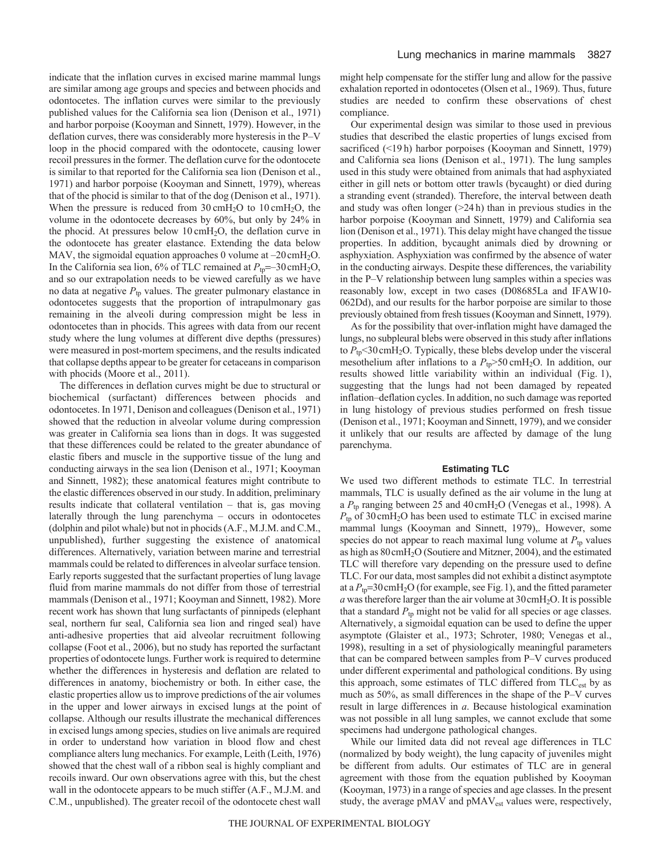indicate that the inflation curves in excised marine mammal lungs are similar among age groups and species and between phocids and odontocetes. The inflation curves were similar to the previously published values for the California sea lion (Denison et al., 1971) and harbor porpoise (Kooyman and Sinnett, 1979). However, in the deflation curves, there was considerably more hysteresis in the P–V loop in the phocid compared with the odontocete, causing lower recoil pressures in the former. The deflation curve for the odontocete is similar to that reported for the California sea lion (Denison et al., 1971) and harbor porpoise (Kooyman and Sinnett, 1979), whereas that of the phocid is similar to that of the dog (Denison et al., 1971). When the pressure is reduced from  $30 \text{ cm}H_2O$  to  $10 \text{ cm}H_2O$ , the volume in the odontocete decreases by 60%, but only by 24% in the phocid. At pressures below  $10 \text{ cm}H_2O$ , the deflation curve in the odontocete has greater elastance. Extending the data below MAV, the sigmoidal equation approaches 0 volume at -20 cmH<sub>2</sub>O. In the California sea lion,  $6\%$  of TLC remained at  $P_{\text{tp}} = -30 \text{ cm}H_2\text{O}$ , and so our extrapolation needs to be viewed carefully as we have no data at negative *P*tp values. The greater pulmonary elastance in odontocetes suggests that the proportion of intrapulmonary gas remaining in the alveoli during compression might be less in odontocetes than in phocids. This agrees with data from our recent study where the lung volumes at different dive depths (pressures) were measured in post-mortem specimens, and the results indicated that collapse depths appear to be greater for cetaceans in comparison with phocids (Moore et al., 2011).

The differences in deflation curves might be due to structural or biochemical (surfactant) differences between phocids and odontocetes. In 1971, Denison and colleagues (Denison et al., 1971) showed that the reduction in alveolar volume during compression was greater in California sea lions than in dogs. It was suggested that these differences could be related to the greater abundance of elastic fibers and muscle in the supportive tissue of the lung and conducting airways in the sea lion (Denison et al., 1971; Kooyman and Sinnett, 1982); these anatomical features might contribute to the elastic differences observed in our study. In addition, preliminary results indicate that collateral ventilation – that is, gas moving laterally through the lung parenchyma – occurs in odontocetes (dolphin and pilot whale) but not in phocids (A.F., M.J.M. and C.M., unpublished), further suggesting the existence of anatomical differences. Alternatively, variation between marine and terrestrial mammals could be related to differences in alveolar surface tension. Early reports suggested that the surfactant properties of lung lavage fluid from marine mammals do not differ from those of terrestrial mammals (Denison et al., 1971; Kooyman and Sinnett, 1982). More recent work has shown that lung surfactants of pinnipeds (elephant seal, northern fur seal, California sea lion and ringed seal) have anti-adhesive properties that aid alveolar recruitment following collapse (Foot et al., 2006), but no study has reported the surfactant properties of odontocete lungs. Further work is required to determine whether the differences in hysteresis and deflation are related to differences in anatomy, biochemistry or both. In either case, the elastic properties allow us to improve predictions of the air volumes in the upper and lower airways in excised lungs at the point of collapse. Although our results illustrate the mechanical differences in excised lungs among species, studies on live animals are required in order to understand how variation in blood flow and chest compliance alters lung mechanics. For example, Leith (Leith, 1976) showed that the chest wall of a ribbon seal is highly compliant and recoils inward. Our own observations agree with this, but the chest wall in the odontocete appears to be much stiffer (A.F., M.J.M. and C.M., unpublished). The greater recoil of the odontocete chest wall might help compensate for the stiffer lung and allow for the passive exhalation reported in odontocetes (Olsen et al., 1969). Thus, future studies are needed to confirm these observations of chest compliance.

Our experimental design was similar to those used in previous studies that described the elastic properties of lungs excised from sacrificed (<19 h) harbor porpoises (Kooyman and Sinnett, 1979) and California sea lions (Denison et al., 1971). The lung samples used in this study were obtained from animals that had asphyxiated either in gill nets or bottom otter trawls (bycaught) or died during a stranding event (stranded). Therefore, the interval between death and study was often longer  $(24h)$  than in previous studies in the harbor porpoise (Kooyman and Sinnett, 1979) and California sea lion (Denison et al., 1971). This delay might have changed the tissue properties. In addition, bycaught animals died by drowning or asphyxiation. Asphyxiation was confirmed by the absence of water in the conducting airways. Despite these differences, the variability in the P–V relationship between lung samples within a species was reasonably low, except in two cases (D08685La and IFAW10- 062Dd), and our results for the harbor porpoise are similar to those previously obtained from fresh tissues (Kooyman and Sinnett, 1979).

As for the possibility that over-inflation might have damaged the lungs, no subpleural blebs were observed in this study after inflations to  $P_{\text{tp}}$ <30 cmH<sub>2</sub>O. Typically, these blebs develop under the visceral mesothelium after inflations to a  $P_{\text{tp}} > 50 \text{ cm} + 20$ . In addition, our results showed little variability within an individual (Fig. 1), suggesting that the lungs had not been damaged by repeated inflation–deflation cycles. In addition, no such damage was reported in lung histology of previous studies performed on fresh tissue (Denison et al., 1971; Kooyman and Sinnett, 1979), and we consider it unlikely that our results are affected by damage of the lung parenchyma.

### **Estimating TLC**

We used two different methods to estimate TLC. In terrestrial mammals, TLC is usually defined as the air volume in the lung at a *P*tp ranging between 25 and 40 cmH2O (Venegas et al., 1998). A  $P_{\text{tp}}$  of 30 cmH<sub>2</sub>O has been used to estimate TLC in excised marine mammal lungs (Kooyman and Sinnett, 1979),. However, some species do not appear to reach maximal lung volume at  $P_{tp}$  values as high as 80cmH2O (Soutiere and Mitzner, 2004), and the estimated TLC will therefore vary depending on the pressure used to define TLC. For our data, most samples did not exhibit a distinct asymptote at a  $P_{tp}$ =30 cmH<sub>2</sub>O (for example, see Fig. 1), and the fitted parameter  $a$  was therefore larger than the air volume at  $30 \text{cm}H_2O$ . It is possible that a standard  $P_{tp}$  might not be valid for all species or age classes. Alternatively, a sigmoidal equation can be used to define the upper asymptote (Glaister et al., 1973; Schroter, 1980; Venegas et al., 1998), resulting in a set of physiologically meaningful parameters that can be compared between samples from P–V curves produced under different experimental and pathological conditions. By using this approach, some estimates of TLC differed from TLC<sub>est</sub> by as much as 50%, as small differences in the shape of the P–V curves result in large differences in *a*. Because histological examination was not possible in all lung samples, we cannot exclude that some specimens had undergone pathological changes.

While our limited data did not reveal age differences in TLC (normalized by body weight), the lung capacity of juveniles might be different from adults. Our estimates of TLC are in general agreement with those from the equation published by Kooyman (Kooyman, 1973) in a range of species and age classes. In the present study, the average pMAV and pMAV<sub>est</sub> values were, respectively,